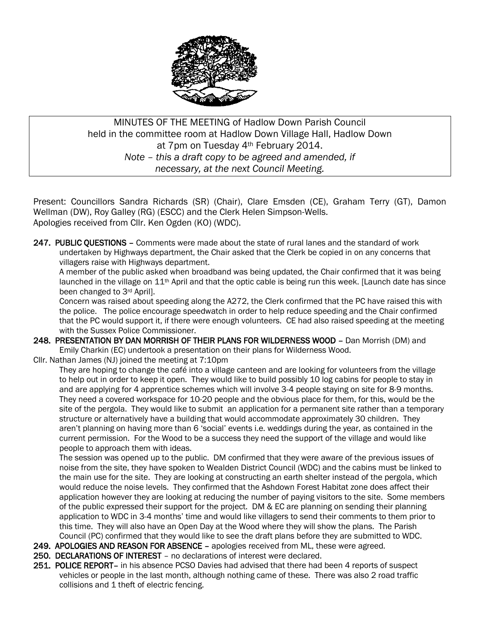

## MINUTES OF THE MEETING of Hadlow Down Parish Council held in the committee room at Hadlow Down Village Hall, Hadlow Down at 7pm on Tuesday 4th February 2014. *Note – this a draft copy to be agreed and amended, if necessary, at the next Council Meeting.*

Present: Councillors Sandra Richards (SR) (Chair), Clare Emsden (CE), Graham Terry (GT), Damon Wellman (DW), Roy Galley (RG) (ESCC) and the Clerk Helen Simpson-Wells. Apologies received from Cllr. Ken Ogden (KO) (WDC).

247. PUBLIC QUESTIONS – Comments were made about the state of rural lanes and the standard of work undertaken by Highways department, the Chair asked that the Clerk be copied in on any concerns that villagers raise with Highways department.

 A member of the public asked when broadband was being updated, the Chair confirmed that it was being launched in the village on 11<sup>th</sup> April and that the optic cable is being run this week. [Launch date has since been changed to 3rd April].

 Concern was raised about speeding along the A272, the Clerk confirmed that the PC have raised this with the police. The police encourage speedwatch in order to help reduce speeding and the Chair confirmed that the PC would support it, if there were enough volunteers. CE had also raised speeding at the meeting with the Sussex Police Commissioner.

248. PRESENTATION BY DAN MORRISH OF THEIR PLANS FOR WILDERNESS WOOD – Dan Morrish (DM) and Emily Charkin (EC) undertook a presentation on their plans for Wilderness Wood.

Cllr. Nathan James (NJ) joined the meeting at 7:10pm

 They are hoping to change the café into a village canteen and are looking for volunteers from the village to help out in order to keep it open. They would like to build possibly 10 log cabins for people to stay in and are applying for 4 apprentice schemes which will involve 3-4 people staying on site for 8-9 months. They need a covered workspace for 10-20 people and the obvious place for them, for this, would be the site of the pergola. They would like to submit an application for a permanent site rather than a temporary structure or alternatively have a building that would accommodate approximately 30 children. They aren't planning on having more than 6 'social' events i.e. weddings during the year, as contained in the current permission. For the Wood to be a success they need the support of the village and would like people to approach them with ideas.

 The session was opened up to the public. DM confirmed that they were aware of the previous issues of noise from the site, they have spoken to Wealden District Council (WDC) and the cabins must be linked to the main use for the site. They are looking at constructing an earth shelter instead of the pergola, which would reduce the noise levels. They confirmed that the Ashdown Forest Habitat zone does affect their application however they are looking at reducing the number of paying visitors to the site. Some members of the public expressed their support for the project. DM & EC are planning on sending their planning application to WDC in 3-4 months' time and would like villagers to send their comments to them prior to this time. They will also have an Open Day at the Wood where they will show the plans. The Parish Council (PC) confirmed that they would like to see the draft plans before they are submitted to WDC.

- 249. APOLOGIES AND REASON FOR ABSENCE apologies received from ML, these were agreed.
- 250. DECLARATIONS OF INTEREST no declarations of interest were declared.
- 251. POLICE REPORT- in his absence PCSO Davies had advised that there had been 4 reports of suspect vehicles or people in the last month, although nothing came of these. There was also 2 road traffic collisions and 1 theft of electric fencing.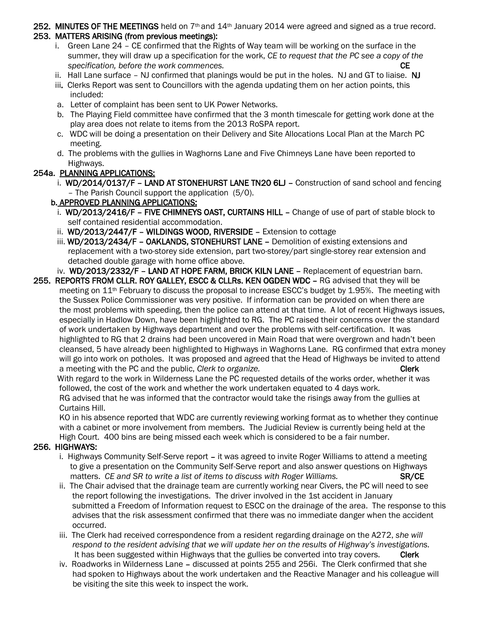#### 252. MINUTES OF THE MEETINGS held on  $7<sup>th</sup>$  and  $14<sup>th</sup>$  January 2014 were agreed and signed as a true record. 253. MATTERS ARISING (from previous meetings):

- i. Green Lane 24 CE confirmed that the Rights of Way team will be working on the surface in the summer, they will draw up a specification for the work, *CE to request that the PC see a copy of the specification, before the work commences.* CE
- ii. Hall Lane surface NJ confirmed that planings would be put in the holes. NJ and GT to liaise. NJ
- iii. Clerks Report was sent to Councillors with the agenda updating them on her action points, this included:
- a. Letter of complaint has been sent to UK Power Networks.
- b. The Playing Field committee have confirmed that the 3 month timescale for getting work done at the play area does not relate to items from the 2013 RoSPA report.
- c. WDC will be doing a presentation on their Delivery and Site Allocations Local Plan at the March PC meeting.
- d. The problems with the gullies in Waghorns Lane and Five Chimneys Lane have been reported to Highways.

## 254a. PLANNING APPLICATIONS:

i. WD/2014/0137/F - LAND AT STONEHURST LANE TN20 6LJ - Construction of sand school and fencing – The Parish Council support the application (5/0).

### b. APPROVED PLANNING APPLICATIONS:

- i. WD/2013/2416/F FIVE CHIMNEYS OAST, CURTAINS HILL Change of use of part of stable block to self contained residential accommodation.
- ii. WD/2013/2447/F WILDINGS WOOD, RIVERSIDE Extension to cottage
- iii. WD/2013/2434/F OAKLANDS, STONEHURST LANE Demolition of existing extensions and replacement with a two-storey side extension, part two-storey/part single-storey rear extension and detached double garage with home office above.

# iv. WD/2013/2332/F – LAND AT HOPE FARM, BRICK KILN LANE – Replacement of equestrian barn.

255. REPORTS FROM CLLR. ROY GALLEY, ESCC & CLLRs. KEN OGDEN WDC - RG advised that they will be meeting on 11th February to discuss the proposal to increase ESCC's budget by 1.95%. The meeting with the Sussex Police Commissioner was very positive. If information can be provided on when there are the most problems with speeding, then the police can attend at that time. A lot of recent Highways issues, especially in Hadlow Down, have been highlighted to RG. The PC raised their concerns over the standard of work undertaken by Highways department and over the problems with self-certification. It was highlighted to RG that 2 drains had been uncovered in Main Road that were overgrown and hadn't been cleansed, 5 have already been highlighted to Highways in Waghorns Lane. RG confirmed that extra money will go into work on potholes. It was proposed and agreed that the Head of Highways be invited to attend a meeting with the PC and the public, *Clerk to organize.* The contract of the clerk clerk

 With regard to the work in Wilderness Lane the PC requested details of the works order, whether it was followed, the cost of the work and whether the work undertaken equated to 4 days work. RG advised that he was informed that the contractor would take the risings away from the gullies at

 Curtains Hill. KO in his absence reported that WDC are currently reviewing working format as to whether they continue with a cabinet or more involvement from members. The Judicial Review is currently being held at the High Court. 400 bins are being missed each week which is considered to be a fair number.

### 256. HIGHWAYS:

- i. Highways Community Self-Serve report it was agreed to invite Roger Williams to attend a meeting to give a presentation on the Community Self-Serve report and also answer questions on Highways matters. *CE and SR to write a list of items to discuss with Roger Williams.* SR/CE
- ii. The Chair advised that the drainage team are currently working near Civers, the PC will need to see the report following the investigations. The driver involved in the 1st accident in January submitted a Freedom of Information request to ESCC on the drainage of the area. The response to this advises that the risk assessment confirmed that there was no immediate danger when the accident occurred.
- iii. The Clerk had received correspondence from a resident regarding drainage on the A272, *she will respond to the resident advising that we will update her on the results of Highway's investigations.* It has been suggested within Highways that the gullies be converted into tray covers. Clerk
- iv. Roadworks in Wilderness Lane discussed at points 255 and 256i. The Clerk confirmed that she had spoken to Highways about the work undertaken and the Reactive Manager and his colleague will be visiting the site this week to inspect the work.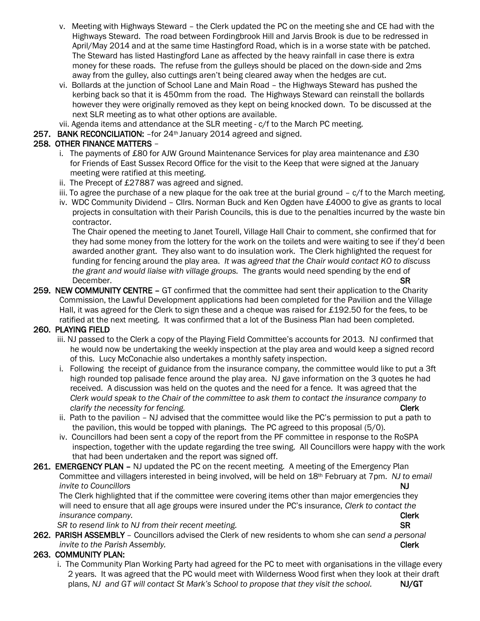- v. Meeting with Highways Steward the Clerk updated the PC on the meeting she and CE had with the Highways Steward. The road between Fordingbrook Hill and Jarvis Brook is due to be redressed in April/May 2014 and at the same time Hastingford Road, which is in a worse state with be patched. The Steward has listed Hastingford Lane as affected by the heavy rainfall in case there is extra money for these roads. The refuse from the gulleys should be placed on the down-side and 2ms away from the gulley, also cuttings aren't being cleared away when the hedges are cut.
- vi. Bollards at the junction of School Lane and Main Road the Highways Steward has pushed the kerbing back so that it is 450mm from the road. The Highways Steward can reinstall the bollards however they were originally removed as they kept on being knocked down. To be discussed at the next SLR meeting as to what other options are available.
- vii. Agenda items and attendance at the SLR meeting c/f to the March PC meeting.
- 257. BANK RECONCILIATION: for 24<sup>th</sup> January 2014 agreed and signed.

### 258. OTHER FINANCE MATTERS –

- i. The payments of £80 for AJW Ground Maintenance Services for play area maintenance and  $£30$  for Friends of East Sussex Record Office for the visit to the Keep that were signed at the January meeting were ratified at this meeting.
- ii. The Precept of £27887 was agreed and signed.
- iii. To agree the purchase of a new plaque for the oak tree at the burial ground  $c/f$  to the March meeting.
- iv. WDC Community Dividend Cllrs. Norman Buck and Ken Ogden have £4000 to give as grants to local projects in consultation with their Parish Councils, this is due to the penalties incurred by the waste bin contractor.

 The Chair opened the meeting to Janet Tourell, Village Hall Chair to comment, she confirmed that for they had some money from the lottery for the work on the toilets and were waiting to see if they'd been awarded another grant. They also want to do insulation work. The Clerk highlighted the request for funding for fencing around the play area. *It was agreed that the Chair would contact KO to discuss the grant and would liaise with village groups.* The grants would need spending by the end of December. SR

259. NEW COMMUNITY CENTRE – GT confirmed that the committee had sent their application to the Charity Commission, the Lawful Development applications had been completed for the Pavilion and the Village Hall, it was agreed for the Clerk to sign these and a cheque was raised for £192.50 for the fees, to be ratified at the next meeting. It was confirmed that a lot of the Business Plan had been completed.

#### 260. PLAYING FIELD

- iii. NJ passed to the Clerk a copy of the Playing Field Committee's accounts for 2013. NJ confirmed that he would now be undertaking the weekly inspection at the play area and would keep a signed record of this. Lucy McConachie also undertakes a monthly safety inspection.
- i. Following the receipt of guidance from the insurance company, the committee would like to put a 3ft high rounded top palisade fence around the play area. NJ gave information on the 3 quotes he had received. A discussion was held on the quotes and the need for a fence. It was agreed that the *Clerk would speak to the Chair of the committee to ask them to contact the insurance company to clarify the necessity for fencing.* Clerk
- ii. Path to the pavilion NJ advised that the committee would like the PC's permission to put a path to the pavilion, this would be topped with planings. The PC agreed to this proposal (5/0).
- iv. Councillors had been sent a copy of the report from the PF committee in response to the RoSPA inspection, together with the update regarding the tree swing. All Councillors were happy with the work that had been undertaken and the report was signed off.
- 261. EMERGENCY PLAN NJ updated the PC on the recent meeting. A meeting of the Emergency Plan Committee and villagers interested in being involved, will be held on 18th February at 7pm. *NJ to email invite to Councillors* **NJ**

 The Clerk highlighted that if the committee were covering items other than major emergencies they will need to ensure that all age groups were insured under the PC's insurance, *Clerk to contact the insurance company.* Clerk and the company of the company of the company of the company of the company of the company of the company of the company of the company of the company of the company of the company of the company

**SR to resend link to NJ from their recent meeting.** SR **SR SR** 

262. PARISH ASSEMBLY – Councillors advised the Clerk of new residents to whom she can *send a personal invite* to the Parish Assembly. **Clerk Clerk** 

#### 263. COMMUNITY PLAN:

 i. The Community Plan Working Party had agreed for the PC to meet with organisations in the village every 2 years. It was agreed that the PC would meet with Wilderness Wood first when they look at their draft plans, *NJ and GT will contact St Mark's School to propose that they visit the school.* NJ/GT